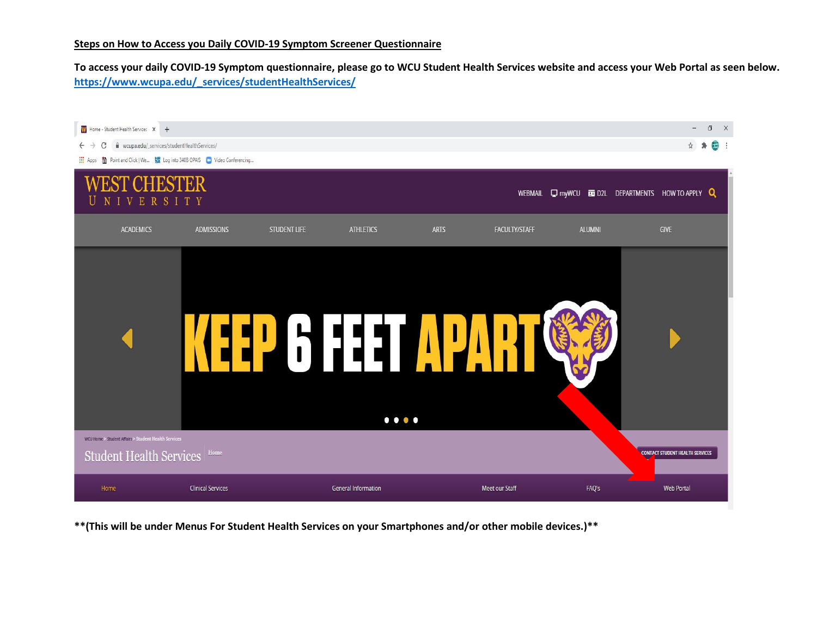## **Steps on How to Access you Daily COVID-19 Symptom Screener Questionnaire**

**To access your daily COVID-19 Symptom questionnaire, please go to WCU Student Health Services website and access your Web Portal as seen below. [https://www.wcupa.edu/\\_services/studentHealthServices/](https://www.wcupa.edu/_services/studentHealthServices/)** 



**\*\*(This will be under Menus For Student Health Services on your Smartphones and/or other mobile devices.)\*\***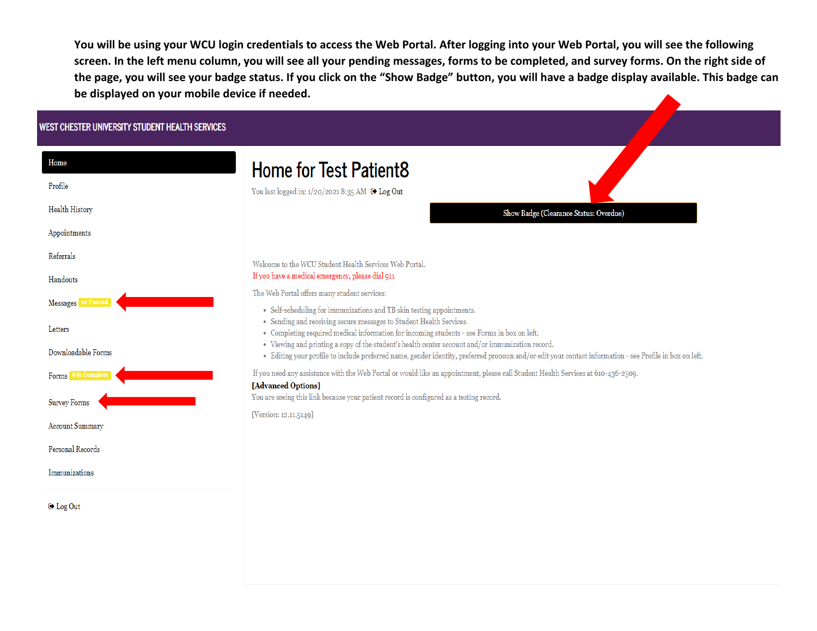**You will be using your WCU login credentials to access the Web Portal. After logging into your Web Portal, you will see the following screen. In the left menu column, you will see all your pending messages, forms to be completed, and survey forms. On the right side of the page, you will see your badge status. If you click on the "Show Badge" button, you will have a badge display available. This badge can be displayed on your mobile device if needed.**

## WEST CHESTER UNIVERSITY STUDENT HEALTH SERVICES

| Home                   | <b>Home for Test Patient8</b>                                                                                                                                                                                                                               |
|------------------------|-------------------------------------------------------------------------------------------------------------------------------------------------------------------------------------------------------------------------------------------------------------|
| Profile                | You last logged in: 1/20/2021 8:35 AM ● Log Out                                                                                                                                                                                                             |
| Health History         | Show Badge (Clearance Status: Overdue)                                                                                                                                                                                                                      |
| Appointments           |                                                                                                                                                                                                                                                             |
| Referrals              | Welcome to the WCU Student Health Services Web Portal.                                                                                                                                                                                                      |
| Handouts               | If you have a medical emergency, please dial 911                                                                                                                                                                                                            |
| Messages 10 Unread     | The Web Portal offers many student services:                                                                                                                                                                                                                |
| Letters                | • Self-scheduling for immunizations and TB skin testing appointments.<br>• Sending and receiving secure messages to Student Health Services.<br>• Completing required medical information for incoming students - see Forms in box on left.                 |
| Downloadable Forms     | • Viewing and printing a copy of the student's health center account and/or immunization record.<br>· Editing your profile to include preferred name, gender identity, preferred pronoun and/or edit your contact information - see Profile in box on left. |
| Forms 6 to Complete    | If you need any assistance with the Web Portal or would like an appointment, please call Student Health Services at 610-436-2509.<br>[Advanced Options]                                                                                                     |
| <b>Survey Forms</b>    | You are seeing this link because your patient record is configured as a testing record.                                                                                                                                                                     |
| <b>Account Summary</b> | [Version: 12.11.5149]                                                                                                                                                                                                                                       |
| Personal Records       |                                                                                                                                                                                                                                                             |
| Immunizations          |                                                                                                                                                                                                                                                             |
| (→ Log Out             |                                                                                                                                                                                                                                                             |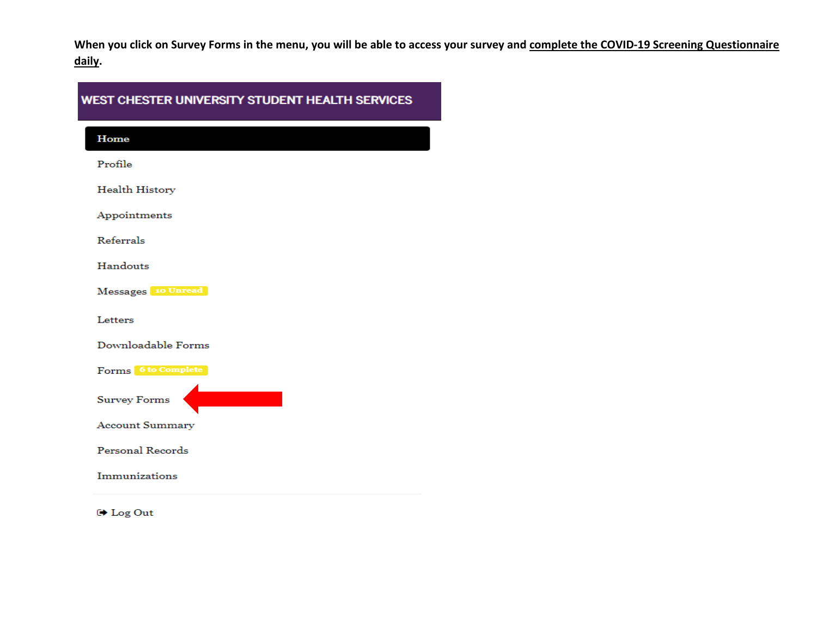When you click on Survey Forms in the menu, you will be able to access your survey and complete the COVID-19 Screening Questionnaire daily.

## WEST CHESTER UNIVERSITY STUDENT HEALTH SERVICES

Home

Profile

Health History

Appointments

Referrals

Handouts

Messages 10 Unread

Letters

Downloadable Forms

Forms 6 to Complete

**Survey Forms** 

**Account Summary** 

Personal Records

Immunizations

**□ Log Out**